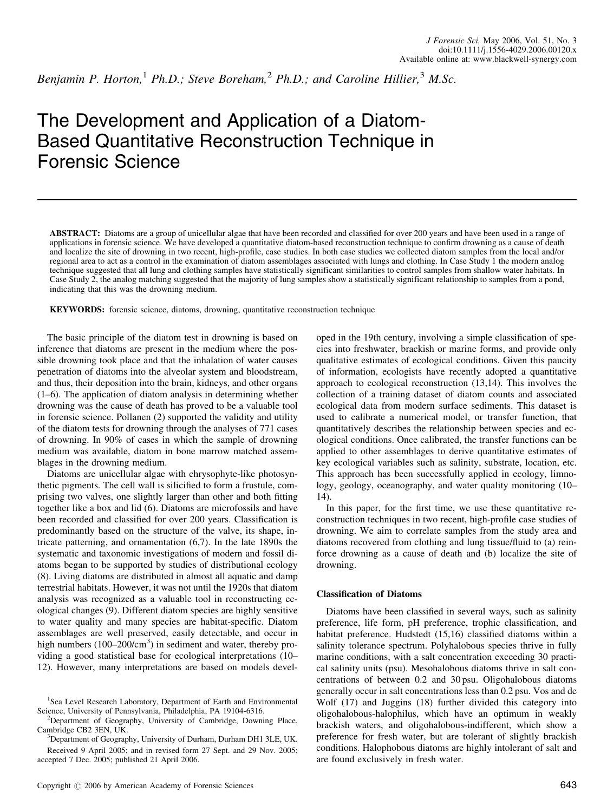Benjamin P. Horton,<sup>1</sup> Ph.D.; Steve Boreham,<sup>2</sup> Ph.D.; and Caroline Hillier,<sup>3</sup> M.Sc.

# The Development and Application of a Diatom-Based Quantitative Reconstruction Technique in Forensic Science

ABSTRACT: Diatoms are a group of unicellular algae that have been recorded and classified for over 200 years and have been used in a range of applications in forensic science. We have developed a quantitative diatom-based reconstruction technique to confirm drowning as a cause of death and localize the site of drowning in two recent, high-profile, case studies. In both case studies we collected diatom samples from the local and/or regional area to act as a control in the examination of diatom assemblages associated with lungs and clothing. In Case Study 1 the modern analog technique suggested that all lung and clothing samples have statistically significant similarities to control samples from shallow water habitats. In Case Study 2, the analog matching suggested that the majority of lung samples show a statistically significant relationship to samples from a pond, indicating that this was the drowning medium.

KEYWORDS: forensic science, diatoms, drowning, quantitative reconstruction technique

The basic principle of the diatom test in drowning is based on inference that diatoms are present in the medium where the possible drowning took place and that the inhalation of water causes penetration of diatoms into the alveolar system and bloodstream, and thus, their deposition into the brain, kidneys, and other organs (1–6). The application of diatom analysis in determining whether drowning was the cause of death has proved to be a valuable tool in forensic science. Pollanen (2) supported the validity and utility of the diatom tests for drowning through the analyses of 771 cases of drowning. In 90% of cases in which the sample of drowning medium was available, diatom in bone marrow matched assemblages in the drowning medium.

Diatoms are unicellular algae with chrysophyte-like photosynthetic pigments. The cell wall is silicified to form a frustule, comprising two valves, one slightly larger than other and both fitting together like a box and lid (6). Diatoms are microfossils and have been recorded and classified for over 200 years. Classification is predominantly based on the structure of the valve, its shape, intricate patterning, and ornamentation (6,7). In the late 1890s the systematic and taxonomic investigations of modern and fossil diatoms began to be supported by studies of distributional ecology (8). Living diatoms are distributed in almost all aquatic and damp terrestrial habitats. However, it was not until the 1920s that diatom analysis was recognized as a valuable tool in reconstructing ecological changes (9). Different diatom species are highly sensitive to water quality and many species are habitat-specific. Diatom assemblages are well preserved, easily detectable, and occur in high numbers (100–200/cm<sup>3</sup>) in sediment and water, thereby providing a good statistical base for ecological interpretations (10– 12). However, many interpretations are based on models developed in the 19th century, involving a simple classification of species into freshwater, brackish or marine forms, and provide only qualitative estimates of ecological conditions. Given this paucity of information, ecologists have recently adopted a quantitative approach to ecological reconstruction (13,14). This involves the collection of a training dataset of diatom counts and associated ecological data from modern surface sediments. This dataset is used to calibrate a numerical model, or transfer function, that quantitatively describes the relationship between species and ecological conditions. Once calibrated, the transfer functions can be applied to other assemblages to derive quantitative estimates of key ecological variables such as salinity, substrate, location, etc. This approach has been successfully applied in ecology, limnology, geology, oceanography, and water quality monitoring (10– 14).

In this paper, for the first time, we use these quantitative reconstruction techniques in two recent, high-profile case studies of drowning. We aim to correlate samples from the study area and diatoms recovered from clothing and lung tissue/fluid to (a) reinforce drowning as a cause of death and (b) localize the site of drowning.

# Classification of Diatoms

Diatoms have been classified in several ways, such as salinity preference, life form, pH preference, trophic classification, and habitat preference. Hudstedt (15,16) classified diatoms within a salinity tolerance spectrum. Polyhalobous species thrive in fully marine conditions, with a salt concentration exceeding 30 practical salinity units (psu). Mesohalobous diatoms thrive in salt concentrations of between 0.2 and 30 psu. Oligohalobous diatoms generally occur in salt concentrations less than 0.2 psu. Vos and de Wolf (17) and Juggins (18) further divided this category into oligohalobous-halophilus, which have an optimum in weakly brackish waters, and oligohalobous-indifferent, which show a preference for fresh water, but are tolerant of slightly brackish conditions. Halophobous diatoms are highly intolerant of salt and are found exclusively in fresh water.

<sup>&</sup>lt;sup>1</sup>Sea Level Research Laboratory, Department of Earth and Environmental Science, University of Pennsylvania, Philadelphia, PA 19104-6316. <sup>2</sup>

 $^{2}$ Department of Geography, University of Cambridge, Downing Place, Cambridge CB2 3EN, UK.

 $3$ Department of Geography, University of Durham, Durham DH1 3LE, UK. Received 9 April 2005; and in revised form 27 Sept. and 29 Nov. 2005; accepted 7 Dec. 2005; published 21 April 2006.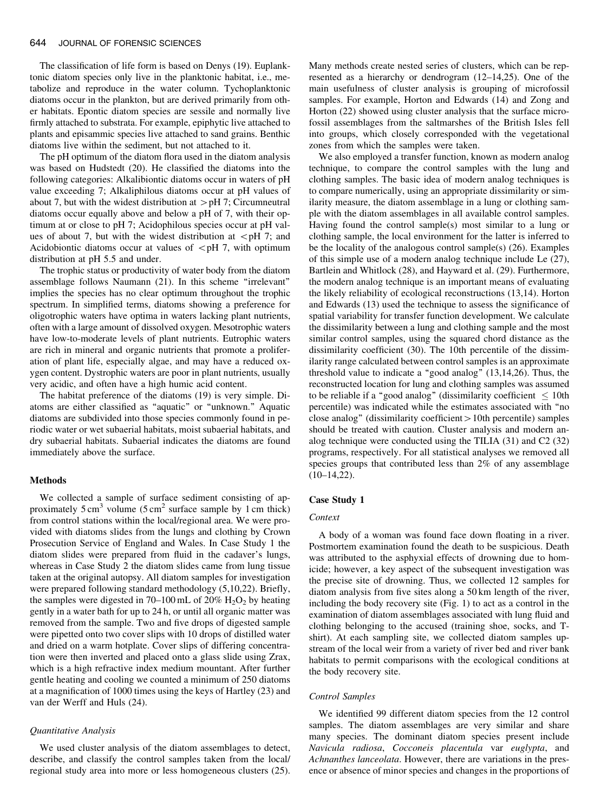The classification of life form is based on Denys (19). Euplanktonic diatom species only live in the planktonic habitat, i.e., metabolize and reproduce in the water column. Tychoplanktonic diatoms occur in the plankton, but are derived primarily from other habitats. Epontic diatom species are sessile and normally live firmly attached to substrata. For example, epiphytic live attached to plants and episammic species live attached to sand grains. Benthic diatoms live within the sediment, but not attached to it.

The pH optimum of the diatom flora used in the diatom analysis was based on Hudstedt (20). He classified the diatoms into the following categories: Alkalibiontic diatoms occur in waters of pH value exceeding 7; Alkaliphilous diatoms occur at pH values of about 7, but with the widest distribution at  $>$  pH 7; Circumneutral diatoms occur equally above and below a pH of 7, with their optimum at or close to pH 7; Acidophilous species occur at pH values of about 7, but with the widest distribution at  $\langle pH 7;$  and Acidobiontic diatoms occur at values of  $\lt pH$  7, with optimum distribution at pH 5.5 and under.

The trophic status or productivity of water body from the diatom assemblage follows Naumann (21). In this scheme "irrelevant" implies the species has no clear optimum throughout the trophic spectrum. In simplified terms, diatoms showing a preference for oligotrophic waters have optima in waters lacking plant nutrients, often with a large amount of dissolved oxygen. Mesotrophic waters have low-to-moderate levels of plant nutrients. Eutrophic waters are rich in mineral and organic nutrients that promote a proliferation of plant life, especially algae, and may have a reduced oxygen content. Dystrophic waters are poor in plant nutrients, usually very acidic, and often have a high humic acid content.

The habitat preference of the diatoms (19) is very simple. Diatoms are either classified as ''aquatic'' or ''unknown.'' Aquatic diatoms are subdivided into those species commonly found in periodic water or wet subaerial habitats, moist subaerial habitats, and dry subaerial habitats. Subaerial indicates the diatoms are found immediately above the surface.

# Methods

We collected a sample of surface sediment consisting of approximately  $5 \text{ cm}^3$  volume  $(5 \text{ cm}^2 \text{ surface sample by 1 cm thick})$ from control stations within the local/regional area. We were provided with diatoms slides from the lungs and clothing by Crown Prosecution Service of England and Wales. In Case Study 1 the diatom slides were prepared from fluid in the cadaver's lungs, whereas in Case Study 2 the diatom slides came from lung tissue taken at the original autopsy. All diatom samples for investigation were prepared following standard methodology (5,10,22). Briefly, the samples were digested in 70–100 mL of 20%  $H_2O_2$  by heating gently in a water bath for up to 24 h, or until all organic matter was removed from the sample. Two and five drops of digested sample were pipetted onto two cover slips with 10 drops of distilled water and dried on a warm hotplate. Cover slips of differing concentration were then inverted and placed onto a glass slide using Zrax, which is a high refractive index medium mountant. After further gentle heating and cooling we counted a minimum of 250 diatoms at a magnification of 1000 times using the keys of Hartley (23) and van der Werff and Huls (24).

# Quantitative Analysis

We used cluster analysis of the diatom assemblages to detect, describe, and classify the control samples taken from the local/ regional study area into more or less homogeneous clusters (25). Many methods create nested series of clusters, which can be represented as a hierarchy or dendrogram (12–14,25). One of the main usefulness of cluster analysis is grouping of microfossil samples. For example, Horton and Edwards (14) and Zong and Horton (22) showed using cluster analysis that the surface microfossil assemblages from the saltmarshes of the British Isles fell into groups, which closely corresponded with the vegetational zones from which the samples were taken.

We also employed a transfer function, known as modern analog technique, to compare the control samples with the lung and clothing samples. The basic idea of modern analog techniques is to compare numerically, using an appropriate dissimilarity or similarity measure, the diatom assemblage in a lung or clothing sample with the diatom assemblages in all available control samples. Having found the control sample(s) most similar to a lung or clothing sample, the local environment for the latter is inferred to be the locality of the analogous control sample(s)  $(26)$ . Examples of this simple use of a modern analog technique include Le (27), Bartlein and Whitlock (28), and Hayward et al. (29). Furthermore, the modern analog technique is an important means of evaluating the likely reliability of ecological reconstructions (13,14). Horton and Edwards (13) used the technique to assess the significance of spatial variability for transfer function development. We calculate the dissimilarity between a lung and clothing sample and the most similar control samples, using the squared chord distance as the dissimilarity coefficient (30). The 10th percentile of the dissimilarity range calculated between control samples is an approximate threshold value to indicate a ''good analog'' (13,14,26). Thus, the reconstructed location for lung and clothing samples was assumed to be reliable if a "good analog" (dissimilarity coefficient  $\leq 10$ th percentile) was indicated while the estimates associated with ''no close analog" (dissimilarity coefficient  $>10$ th percentile) samples should be treated with caution. Cluster analysis and modern analog technique were conducted using the TILIA (31) and C2 (32) programs, respectively. For all statistical analyses we removed all species groups that contributed less than 2% of any assemblage  $(10-14,22)$ .

## Case Study 1

## Context

A body of a woman was found face down floating in a river. Postmortem examination found the death to be suspicious. Death was attributed to the asphyxial effects of drowning due to homicide; however, a key aspect of the subsequent investigation was the precise site of drowning. Thus, we collected 12 samples for diatom analysis from five sites along a 50 km length of the river, including the body recovery site (Fig. 1) to act as a control in the examination of diatom assemblages associated with lung fluid and clothing belonging to the accused (training shoe, socks, and Tshirt). At each sampling site, we collected diatom samples upstream of the local weir from a variety of river bed and river bank habitats to permit comparisons with the ecological conditions at the body recovery site.

#### Control Samples

We identified 99 different diatom species from the 12 control samples. The diatom assemblages are very similar and share many species. The dominant diatom species present include Navicula radiosa, Cocconeis placentula var euglypta, and Achnanthes lanceolata. However, there are variations in the presence or absence of minor species and changes in the proportions of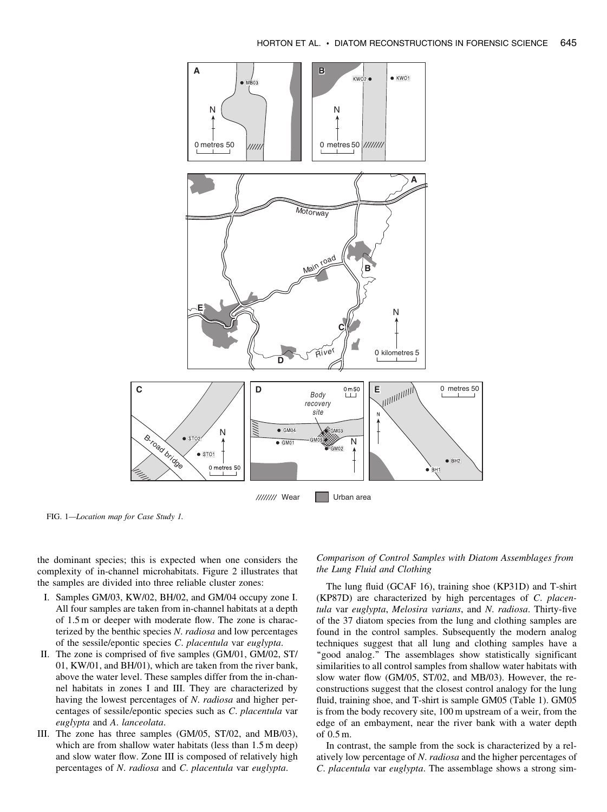

FIG. 1—Location map for Case Study 1.

the dominant species; this is expected when one considers the complexity of in-channel microhabitats. Figure 2 illustrates that the samples are divided into three reliable cluster zones:

- I. Samples GM/03, KW/02, BH/02, and GM/04 occupy zone I. All four samples are taken from in-channel habitats at a depth of 1.5 m or deeper with moderate flow. The zone is characterized by the benthic species N. radiosa and low percentages of the sessile/epontic species C. placentula var euglypta.
- II. The zone is comprised of five samples (GM/01, GM/02, ST/ 01, KW/01, and BH/01), which are taken from the river bank, above the water level. These samples differ from the in-channel habitats in zones I and III. They are characterized by having the lowest percentages of N. radiosa and higher percentages of sessile/epontic species such as C. placentula var euglypta and A. lanceolata.
- III. The zone has three samples (GM/05, ST/02, and MB/03), which are from shallow water habitats (less than 1.5 m deep) and slow water flow. Zone III is composed of relatively high percentages of N. radiosa and C. placentula var euglypta.

# Comparison of Control Samples with Diatom Assemblages from the Lung Fluid and Clothing

The lung fluid (GCAF 16), training shoe (KP31D) and T-shirt (KP87D) are characterized by high percentages of C. placentula var euglypta, Melosira varians, and N. radiosa. Thirty-five of the 37 diatom species from the lung and clothing samples are found in the control samples. Subsequently the modern analog techniques suggest that all lung and clothing samples have a "good analog." The assemblages show statistically significant similarities to all control samples from shallow water habitats with slow water flow (GM/05, ST/02, and MB/03). However, the reconstructions suggest that the closest control analogy for the lung fluid, training shoe, and T-shirt is sample GM05 (Table 1). GM05 is from the body recovery site, 100 m upstream of a weir, from the edge of an embayment, near the river bank with a water depth of 0.5 m.

In contrast, the sample from the sock is characterized by a relatively low percentage of N. radiosa and the higher percentages of C. placentula var euglypta. The assemblage shows a strong sim-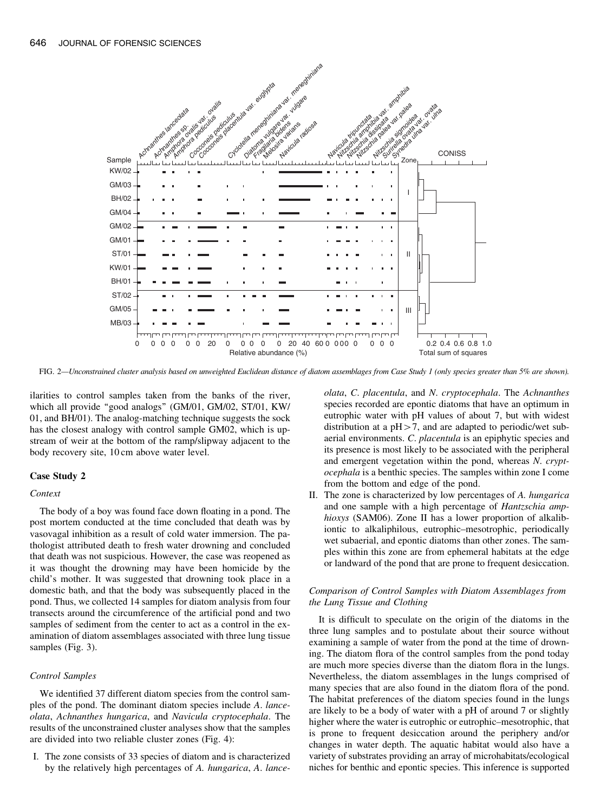

FIG. 2—Unconstrained cluster analysis based on unweighted Euclidean distance of diatom assemblages from Case Study 1 (only species greater than 5% are shown).

ilarities to control samples taken from the banks of the river, which all provide "good analogs" (GM/01, GM/02, ST/01, KW/ 01, and BH/01). The analog-matching technique suggests the sock has the closest analogy with control sample GM02, which is upstream of weir at the bottom of the ramp/slipway adjacent to the body recovery site, 10 cm above water level.

#### Case Study 2

#### Context

The body of a boy was found face down floating in a pond. The post mortem conducted at the time concluded that death was by vasovagal inhibition as a result of cold water immersion. The pathologist attributed death to fresh water drowning and concluded that death was not suspicious. However, the case was reopened as it was thought the drowning may have been homicide by the child's mother. It was suggested that drowning took place in a domestic bath, and that the body was subsequently placed in the pond. Thus, we collected 14 samples for diatom analysis from four transects around the circumference of the artificial pond and two samples of sediment from the center to act as a control in the examination of diatom assemblages associated with three lung tissue samples (Fig. 3).

#### Control Samples

We identified 37 different diatom species from the control samples of the pond. The dominant diatom species include A. lanceolata, Achnanthes hungarica, and Navicula cryptocephala. The results of the unconstrained cluster analyses show that the samples are divided into two reliable cluster zones (Fig. 4):

I. The zone consists of 33 species of diatom and is characterized by the relatively high percentages of A. hungarica, A. lanceolata, C. placentula, and N. cryptocephala. The Achnanthes species recorded are epontic diatoms that have an optimum in eutrophic water with pH values of about 7, but with widest distribution at a  $pH > 7$ , and are adapted to periodic/wet subaerial environments. C. placentula is an epiphytic species and its presence is most likely to be associated with the peripheral and emergent vegetation within the pond, whereas N. cryptocephala is a benthic species. The samples within zone I come from the bottom and edge of the pond.

II. The zone is characterized by low percentages of A. hungarica and one sample with a high percentage of Hantzschia amphioxys (SAM06). Zone II has a lower proportion of alkalibiontic to alkaliphilous, eutrophic–mesotrophic, periodically wet subaerial, and epontic diatoms than other zones. The samples within this zone are from ephemeral habitats at the edge or landward of the pond that are prone to frequent desiccation.

# Comparison of Control Samples with Diatom Assemblages from the Lung Tissue and Clothing

It is difficult to speculate on the origin of the diatoms in the three lung samples and to postulate about their source without examining a sample of water from the pond at the time of drowning. The diatom flora of the control samples from the pond today are much more species diverse than the diatom flora in the lungs. Nevertheless, the diatom assemblages in the lungs comprised of many species that are also found in the diatom flora of the pond. The habitat preferences of the diatom species found in the lungs are likely to be a body of water with a pH of around 7 or slightly higher where the water is eutrophic or eutrophic–mesotrophic, that is prone to frequent desiccation around the periphery and/or changes in water depth. The aquatic habitat would also have a variety of substrates providing an array of microhabitats/ecological niches for benthic and epontic species. This inference is supported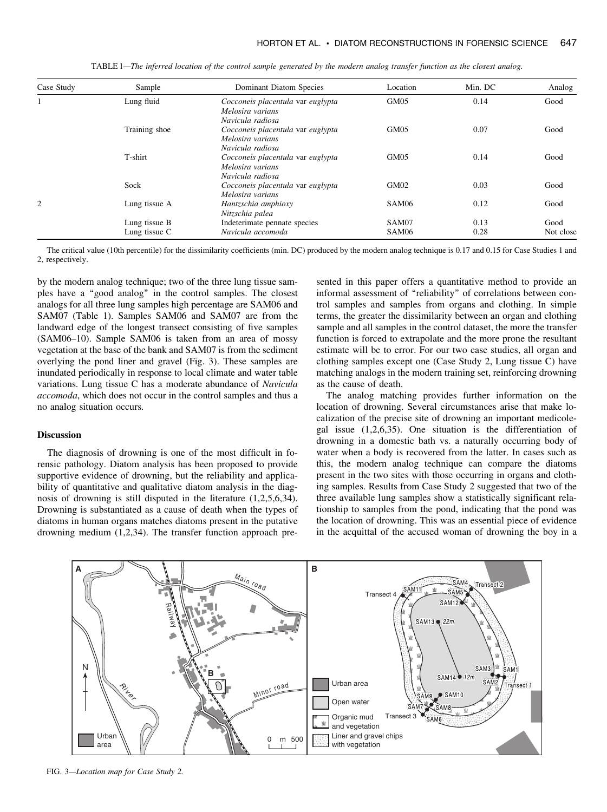| Case Study | Sample        | Dominant Diatom Species                                                   | Location         | Min. DC | Analog    |
|------------|---------------|---------------------------------------------------------------------------|------------------|---------|-----------|
|            | Lung fluid    | Cocconeis placentula var euglypta<br>Melosira varians<br>Navicula radiosa | GM05             | 0.14    | Good      |
|            | Training shoe | Cocconeis placentula var euglypta<br>Melosira varians<br>Navicula radiosa | GM05             | 0.07    | Good      |
|            | T-shirt       | Cocconeis placentula var euglypta<br>Melosira varians<br>Navicula radiosa | GM <sub>05</sub> | 0.14    | Good      |
|            | Sock          | Cocconeis placentula var euglypta<br>Melosira varians                     | GM02             | 0.03    | Good      |
| 2          | Lung tissue A | Hantzschia amphioxy<br>Nitzschia palea                                    | SAM06            | 0.12    | Good      |
|            | Lung tissue B | Indeterimate pennate species                                              | SAM07            | 0.13    | Good      |
|            | Lung tissue C | Navicula accomoda                                                         | SAM06            | 0.28    | Not close |

TABLE 1—The inferred location of the control sample generated by the modern analog transfer function as the closest analog.

The critical value (10th percentile) for the dissimilarity coefficients (min. DC) produced by the modern analog technique is 0.17 and 0.15 for Case Studies 1 and 2, respectively.

by the modern analog technique; two of the three lung tissue samples have a ''good analog'' in the control samples. The closest analogs for all three lung samples high percentage are SAM06 and SAM07 (Table 1). Samples SAM06 and SAM07 are from the landward edge of the longest transect consisting of five samples (SAM06–10). Sample SAM06 is taken from an area of mossy vegetation at the base of the bank and SAM07 is from the sediment overlying the pond liner and gravel (Fig. 3). These samples are inundated periodically in response to local climate and water table variations. Lung tissue C has a moderate abundance of Navicula accomoda, which does not occur in the control samples and thus a no analog situation occurs.

#### **Discussion**

The diagnosis of drowning is one of the most difficult in forensic pathology. Diatom analysis has been proposed to provide supportive evidence of drowning, but the reliability and applicability of quantitative and qualitative diatom analysis in the diagnosis of drowning is still disputed in the literature (1,2,5,6,34). Drowning is substantiated as a cause of death when the types of diatoms in human organs matches diatoms present in the putative drowning medium (1,2,34). The transfer function approach presented in this paper offers a quantitative method to provide an informal assessment of ''reliability'' of correlations between control samples and samples from organs and clothing. In simple terms, the greater the dissimilarity between an organ and clothing sample and all samples in the control dataset, the more the transfer function is forced to extrapolate and the more prone the resultant estimate will be to error. For our two case studies, all organ and clothing samples except one (Case Study 2, Lung tissue C) have matching analogs in the modern training set, reinforcing drowning as the cause of death.

The analog matching provides further information on the location of drowning. Several circumstances arise that make localization of the precise site of drowning an important medicolegal issue (1,2,6,35). One situation is the differentiation of drowning in a domestic bath vs. a naturally occurring body of water when a body is recovered from the latter. In cases such as this, the modern analog technique can compare the diatoms present in the two sites with those occurring in organs and clothing samples. Results from Case Study 2 suggested that two of the three available lung samples show a statistically significant relationship to samples from the pond, indicating that the pond was the location of drowning. This was an essential piece of evidence in the acquittal of the accused woman of drowning the boy in a



FIG. 3—Location map for Case Study 2.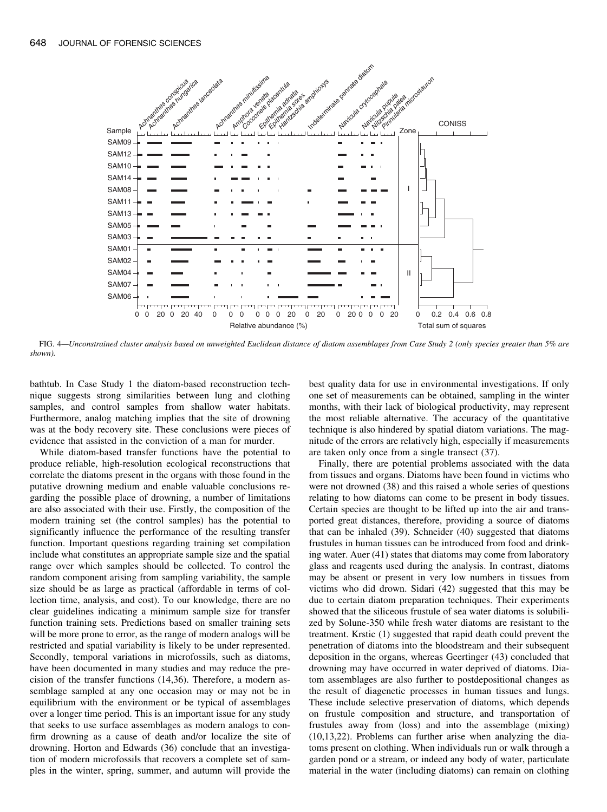

FIG. 4—Unconstrained cluster analysis based on unweighted Euclidean distance of diatom assemblages from Case Study 2 (only species greater than 5% are shown).

bathtub. In Case Study 1 the diatom-based reconstruction technique suggests strong similarities between lung and clothing samples, and control samples from shallow water habitats. Furthermore, analog matching implies that the site of drowning was at the body recovery site. These conclusions were pieces of evidence that assisted in the conviction of a man for murder.

While diatom-based transfer functions have the potential to produce reliable, high-resolution ecological reconstructions that correlate the diatoms present in the organs with those found in the putative drowning medium and enable valuable conclusions regarding the possible place of drowning, a number of limitations are also associated with their use. Firstly, the composition of the modern training set (the control samples) has the potential to significantly influence the performance of the resulting transfer function. Important questions regarding training set compilation include what constitutes an appropriate sample size and the spatial range over which samples should be collected. To control the random component arising from sampling variability, the sample size should be as large as practical (affordable in terms of collection time, analysis, and cost). To our knowledge, there are no clear guidelines indicating a minimum sample size for transfer function training sets. Predictions based on smaller training sets will be more prone to error, as the range of modern analogs will be restricted and spatial variability is likely to be under represented. Secondly, temporal variations in microfossils, such as diatoms, have been documented in many studies and may reduce the precision of the transfer functions (14,36). Therefore, a modern assemblage sampled at any one occasion may or may not be in equilibrium with the environment or be typical of assemblages over a longer time period. This is an important issue for any study that seeks to use surface assemblages as modern analogs to confirm drowning as a cause of death and/or localize the site of drowning. Horton and Edwards (36) conclude that an investigation of modern microfossils that recovers a complete set of samples in the winter, spring, summer, and autumn will provide the best quality data for use in environmental investigations. If only one set of measurements can be obtained, sampling in the winter months, with their lack of biological productivity, may represent the most reliable alternative. The accuracy of the quantitative technique is also hindered by spatial diatom variations. The magnitude of the errors are relatively high, especially if measurements are taken only once from a single transect (37).

Finally, there are potential problems associated with the data from tissues and organs. Diatoms have been found in victims who were not drowned (38) and this raised a whole series of questions relating to how diatoms can come to be present in body tissues. Certain species are thought to be lifted up into the air and transported great distances, therefore, providing a source of diatoms that can be inhaled (39). Schneider (40) suggested that diatoms frustules in human tissues can be introduced from food and drinking water. Auer (41) states that diatoms may come from laboratory glass and reagents used during the analysis. In contrast, diatoms may be absent or present in very low numbers in tissues from victims who did drown. Sidari (42) suggested that this may be due to certain diatom preparation techniques. Their experiments showed that the siliceous frustule of sea water diatoms is solubilized by Solune-350 while fresh water diatoms are resistant to the treatment. Krstic (1) suggested that rapid death could prevent the penetration of diatoms into the bloodstream and their subsequent deposition in the organs, whereas Geertinger (43) concluded that drowning may have occurred in water deprived of diatoms. Diatom assemblages are also further to postdepositional changes as the result of diagenetic processes in human tissues and lungs. These include selective preservation of diatoms, which depends on frustule composition and structure, and transportation of frustules away from (loss) and into the assemblage (mixing) (10,13,22). Problems can further arise when analyzing the diatoms present on clothing. When individuals run or walk through a garden pond or a stream, or indeed any body of water, particulate material in the water (including diatoms) can remain on clothing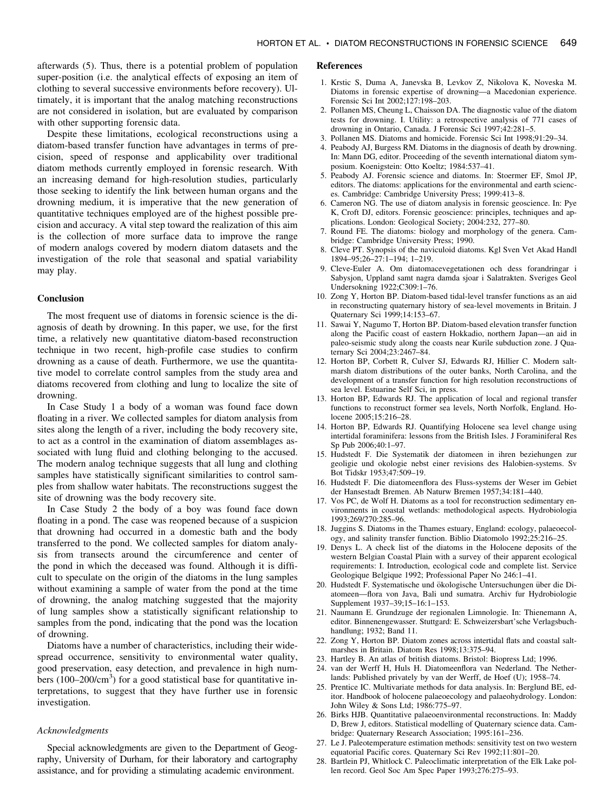afterwards (5). Thus, there is a potential problem of population super-position (i.e. the analytical effects of exposing an item of clothing to several successive environments before recovery). Ultimately, it is important that the analog matching reconstructions are not considered in isolation, but are evaluated by comparison with other supporting forensic data.

Despite these limitations, ecological reconstructions using a diatom-based transfer function have advantages in terms of precision, speed of response and applicability over traditional diatom methods currently employed in forensic research. With an increasing demand for high-resolution studies, particularly those seeking to identify the link between human organs and the drowning medium, it is imperative that the new generation of quantitative techniques employed are of the highest possible precision and accuracy. A vital step toward the realization of this aim is the collection of more surface data to improve the range of modern analogs covered by modern diatom datasets and the investigation of the role that seasonal and spatial variability may play.

## **Conclusion**

The most frequent use of diatoms in forensic science is the diagnosis of death by drowning. In this paper, we use, for the first time, a relatively new quantitative diatom-based reconstruction technique in two recent, high-profile case studies to confirm drowning as a cause of death. Furthermore, we use the quantitative model to correlate control samples from the study area and diatoms recovered from clothing and lung to localize the site of drowning.

In Case Study 1 a body of a woman was found face down floating in a river. We collected samples for diatom analysis from sites along the length of a river, including the body recovery site, to act as a control in the examination of diatom assemblages associated with lung fluid and clothing belonging to the accused. The modern analog technique suggests that all lung and clothing samples have statistically significant similarities to control samples from shallow water habitats. The reconstructions suggest the site of drowning was the body recovery site.

In Case Study 2 the body of a boy was found face down floating in a pond. The case was reopened because of a suspicion that drowning had occurred in a domestic bath and the body transferred to the pond. We collected samples for diatom analysis from transects around the circumference and center of the pond in which the deceased was found. Although it is difficult to speculate on the origin of the diatoms in the lung samples without examining a sample of water from the pond at the time of drowning, the analog matching suggested that the majority of lung samples show a statistically significant relationship to samples from the pond, indicating that the pond was the location of drowning.

Diatoms have a number of characteristics, including their widespread occurrence, sensitivity to environmental water quality, good preservation, easy detection, and prevalence in high numbers  $(100-200/cm^3)$  for a good statistical base for quantitative interpretations, to suggest that they have further use in forensic investigation.

#### Acknowledgments

Special acknowledgments are given to the Department of Geography, University of Durham, for their laboratory and cartography assistance, and for providing a stimulating academic environment.

#### **References**

- 1. Krstic S, Duma A, Janevska B, Levkov Z, Nikolova K, Noveska M. Diatoms in forensic expertise of drowning—a Macedonian experience. Forensic Sci Int 2002;127:198–203.
- 2. Pollanen MS, Cheung L, Chaisson DA. The diagnostic value of the diatom tests for drowning. I. Utility: a retrospective analysis of 771 cases of drowning in Ontario, Canada. J Forensic Sci 1997;42:281–5.
- 3. Pollanen MS. Diatoms and homicide. Forensic Sci Int 1998;91:29–34.
- 4. Peabody AJ, Burgess RM. Diatoms in the diagnosis of death by drowning. In: Mann DG, editor. Proceeding of the seventh international diatom symposium. Koenigstein: Otto Koeltz; 1984:537–41.
- 5. Peabody AJ. Forensic science and diatoms. In: Stoermer EF, Smol JP, editors. The diatoms: applications for the environmental and earth sciences. Cambridge: Cambridge University Press; 1999:413–8.
- 6. Cameron NG. The use of diatom analysis in forensic geoscience. In: Pye K, Croft DJ, editors. Forensic geoscience: principles, techniques and applications. London: Geological Society; 2004:232, 277–80.
- 7. Round FE. The diatoms: biology and morphology of the genera. Cambridge: Cambridge University Press; 1990.
- 8. Cleve PT. Synopsis of the naviculoid diatoms. Kgl Sven Vet Akad Handl 1894–95;26–27:1–194; 1–219.
- 9. Cleve-Euler A. Om diatomacevegetationen och dess forandringar i Sabysjon, Uppland samt nagra damda sjoar i Salatrakten. Sveriges Geol Undersokning 1922;C309:1–76.
- 10. Zong Y, Horton BP. Diatom-based tidal-level transfer functions as an aid in reconstructing quaternary history of sea-level movements in Britain. J Quaternary Sci 1999;14:153–67.
- 11. Sawai Y, Nagumo T, Horton BP. Diatom-based elevation transfer function along the Pacific coast of eastern Hokkadio, northern Japan—an aid in paleo-seismic study along the coasts near Kurile subduction zone. J Quaternary Sci 2004;23:2467–84.
- 12. Horton BP, Corbett R, Culver SJ, Edwards RJ, Hillier C. Modern saltmarsh diatom distributions of the outer banks, North Carolina, and the development of a transfer function for high resolution reconstructions of sea level. Estuarine Self Sci, in press.
- 13. Horton BP, Edwards RJ. The application of local and regional transfer functions to reconstruct former sea levels, North Norfolk, England. Holocene 2005;15:216–28.
- 14. Horton BP, Edwards RJ. Quantifying Holocene sea level change using intertidal foraminifera: lessons from the British Isles. J Foraminiferal Res Sp Pub 2006;40:1–97.
- 15. Hudstedt F. Die Systematik der diatomeen in ihren beziehungen zur geoligie und okologie nebst einer revisions des Halobien-systems. Sv Bot Tidskr 1953;47:509–19.
- 16. Hudstedt F. Die diatomeenflora des Fluss-systems der Weser im Gebiet der Hansestadt Bremen. Ab Naturw Bremen 1957;34:181–440.
- 17. Vos PC, de Wolf H. Diatoms as a tool for reconstruction sedimentary environments in coastal wetlands: methodological aspects. Hydrobiologia 1993;269/270:285–96.
- 18. Juggins S. Diatoms in the Thames estuary, England: ecology, palaeoecology, and salinity transfer function. Biblio Diatomolo 1992;25:216–25.
- 19. Denys L. A check list of the diatoms in the Holocene deposits of the western Belgian Coastal Plain with a survey of their apparent ecological requirements: I. Introduction, ecological code and complete list. Service Geologique Belgique 1992; Professional Paper No 246:1–41.
- 20. Hudstedt F. Systematische und ökologische Untersuchungen über die Diatomeen—flora von Java, Bali und sumatra. Archiv fur Hydrobiologie Supplement 1937–39;15–16:1–153.
- 21. Naumann E. Grundzuge der regionalen Limnologie. In: Thienemann A, editor. Binnenengewasser. Stuttgard: E. Schweizersbart'sche Verlagsbuchhandlung; 1932; Band 11.
- 22. Zong Y, Horton BP. Diatom zones across intertidal flats and coastal saltmarshes in Britain. Diatom Res 1998;13:375–94.
- 23. Hartley B. An atlas of british diatoms. Bristol: Biopress Ltd; 1996.
- 24. van der Werff H, Huls H. Diatomeenflora van Nederland. The Netherlands: Published privately by van der Werff, de Hoef (U); 1958–74.
- 25. Prentice IC. Multivariate methods for data analysis. In: Berglund BE, editor. Handbook of holocene palaeoecology and palaeohydrology. London: John Wiley & Sons Ltd; 1986:775–97.
- 26. Birks HJB. Quantitative palaeoenvironmental reconstructions. In: Maddy D, Brew J, editors. Statistical modelling of Quaternary science data. Cambridge: Quaternary Research Association; 1995:161–236.
- 27. Le J. Paleotemperature estimation methods: sensitivity test on two western equatorial Pacific cores. Quaternary Sci Rev 1992;11:801–20.
- 28. Bartlein PJ, Whitlock C. Paleoclimatic interpretation of the Elk Lake pollen record. Geol Soc Am Spec Paper 1993;276:275–93.